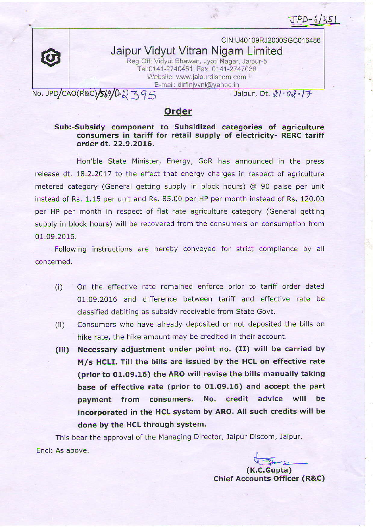$JPD-6/451$ 

CIN:U401 09RJ2000SGC01 6486 Jaipur Vidyut Vitran Nigam Limited Reg. Off: Vidyut Bhawan, Jyoti Nagar, Jaipur-5 Tel: 0141-2740451: Fax: 0141-2747 038 Website: www.jaipurdiscom.com

E-mail: dirfinjvvnl@yahoo.in<br>No. JPD/CAO(R&C)/569/0-2 395

Jaipur, Dt.  $\sqrt[8]{\cdot 0 \sqrt[8]{\cdot 17}}$ 

## Order

Sub:-Subsidy component to Subsidized categories of agriculture consumers in tariff for retail supply of electricity- RERC tariff order dt. 22,9.2OL6.

Hon'ble State Minister, Energy, GoR has announced in the press release dt. 18.2.2017 to the effect that energy charges in respect of agriculture metered category (General getting supply in block hours) @ 90 paise per unit instead of Rs. 1.15 per unit and Rs. 85.00 per HP per month instead of Rs. 120.00 per HP per month in respect of flat rate agriculture category (General getting supply in block hours) will be recovered from the consumers on consumption from 01,09.2016.

Following instructions are hereby conveyed for strict compliance by all concerned.

- (i) on the effective rate remained enforce prior to tariff order dated 01,09.2016 and difference between tariff and effective rate be classified debiting as subsidy receivable from State Govt.
- (ii) Consumers who have already deposited or not deposited the bills on hike rate, the hike amount may be credited in their account,
- (iii) Necessary adjustment under point no. (II) will be carried by M/s HCLI. Till the bills are issued by the HCL on effective rate (prior to 01.09.16) the ARO will revise the bills manually taking base of effective rate (prior to 01.O9.16) and accept the part payment from consumers. No. credit advice will be incorporated in the HCL system by ARO. All such credits will be done by the HCL through system.

This bear the approval of the Managing Director, Jaipur Discom, Jaipur Encl: As above.

> $(K.C.Gupta)$ chief Accounts officer (R&c)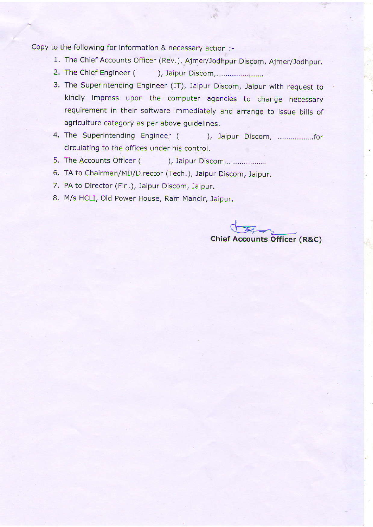Copy to the following for information & necessary action :-

- 1. The Chief Accounts Officer (Rev.), Ajmer/Jodhpur Discom, Ajmer/Jodhpur.
- 2. The Chief Engineer ( ), Jaipur Discom,....
- 3. The Superintending Engineer (IT), Jaipur Discom, Jaipur with request to kindly impress upon the computer agencies to change necessary requirement in their software immediately and arrange to issue bills of agriculture category as per above guidelines.
- 4. The Superintending Engineer ( ), Jaipur Discom, .............................. circulating to the offices under his control.
- 5. The Accounts Officer ( ), Jaipur Discom,.....................
- 6. TA to Chairman/MD/Director (Tech.), Jaipur Discom, Jaipur.
- 7. PA to Director (Fin.), Jaipur Discom, Jaipur.
- 8. M/s HCLI, Old Power House, Ram Mandir, Jaipur.

 $\sqrt{2}$ Chief Accounts Officer (R&C)